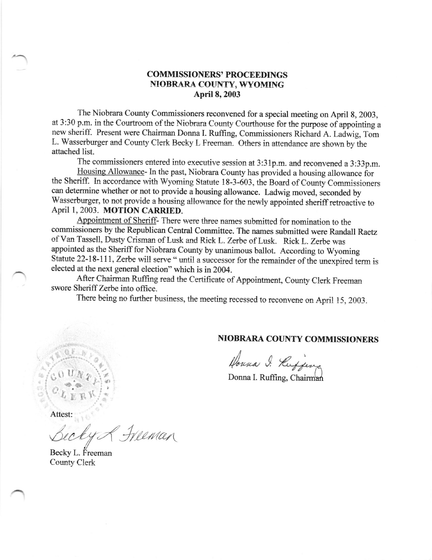## COMMISSIONERS' PROCEEDINGS NIOBRARA COLINTY, WYOMING April 8, 2003

The Niobrara County Commissioners reconvened for a special meeting on April 8, 2003, at 3:30 p.m. in the Courtroom of the Niobrara County Courthouse for the purpose of appointing a new sheriff. Present were Chairman Donna I. Ruffrng, Commissioners Richard A. Ladwig, Tom L. Wasserburger and County Clerk Becky L Freeman. Others in attendance are shown by the attached list.

The commissioners entered into executive session at 3:31p.m. and reconvened a 3:33p.m.<br>Housing Allowance- In the past, Niobrara County has provided a housing allowance for the Sheriff. In accordance with Wyoming Statute 18-3-603, the Board of County Commissioners can determine whether or not to provide a housing allowance. Ladwig moved, seconded by Wasserburger, to not provide a housing allowance for the newly appointed sheriff retroactive to April 1, 2003. MOTION CARRIED.

Appointment of Sheriff- There were three names submitted for nomination to the commissioners by the Republican Central Committee. The names submitted were Randall Raetz of Van Tassell, Dusty Crisman of Lusk and Rick L. Zerbe of Lusk. Rick L. Zerbe was appointed as the Sheriff for Niobrara County by unanimous ballot. According to Wyoming Statute 22-18-111, Zerbe will serve " until a successor for the remainder of the unexpired term is elected at the next general election" which is in 2004.

After Chairman Ruffing read the Certificate of Appointment, County Clerk Freeman swore Sheriff Zerbe into office.

There being no further business, the meeting recessed to reconvene on April 15, 2003.

## NIOBRARA COUNTY COMMISSIONERS

Houna I. Keefferg

Donna I. Ruffing, Chairman

Attest:

 $H$ eman

Becky L. Freeman County Clerk